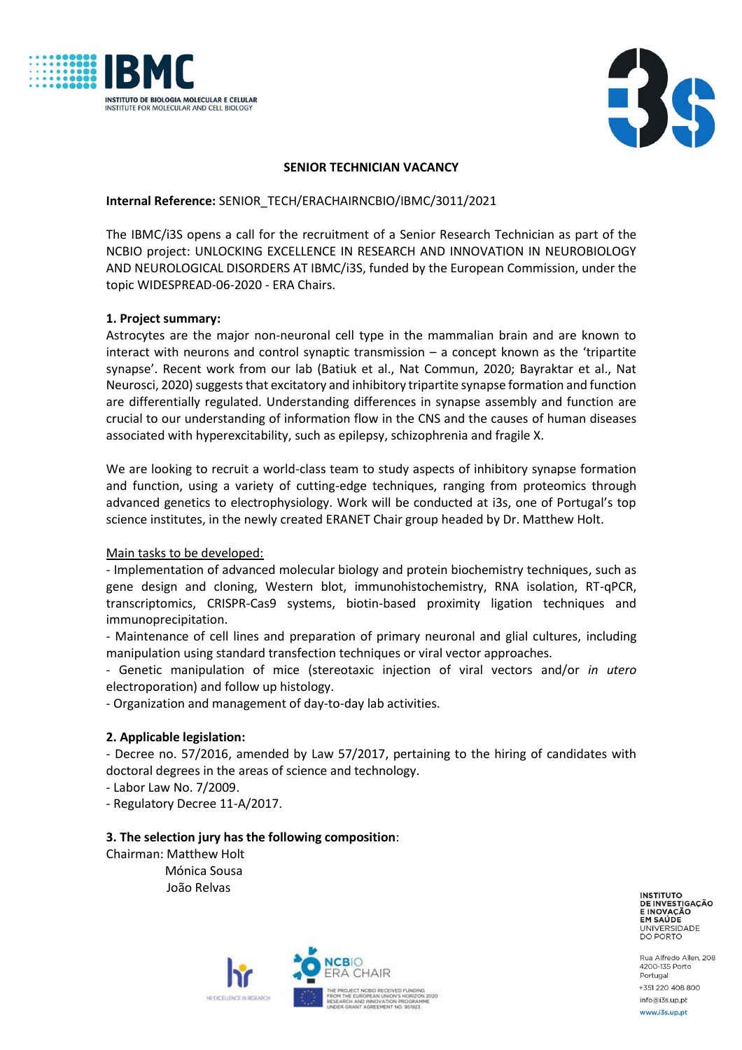



### **SENIOR TECHNICIAN VACANCY**

### **Internal Reference:** SENIOR\_TECH/ERACHAIRNCBIO/IBMC/3011/2021

The IBMC/i3S opens a call for the recruitment of a Senior Research Technician as part of the NCBIO project: UNLOCKING EXCELLENCE IN RESEARCH AND INNOVATION IN NEUROBIOLOGY AND NEUROLOGICAL DISORDERS AT IBMC/i3S, funded by the European Commission, under the topic WIDESPREAD-06-2020 - ERA Chairs.

## **1. Project summary:**

Astrocytes are the major non-neuronal cell type in the mammalian brain and are known to interact with neurons and control synaptic transmission – a concept known as the 'tripartite synapse'. Recent work from our lab (Batiuk et al., Nat Commun, 2020; Bayraktar et al., Nat Neurosci, 2020) suggests that excitatory and inhibitory tripartite synapse formation and function are differentially regulated. Understanding differences in synapse assembly and function are crucial to our understanding of information flow in the CNS and the causes of human diseases associated with hyperexcitability, such as epilepsy, schizophrenia and fragile X.

We are looking to recruit a world-class team to study aspects of inhibitory synapse formation and function, using a variety of cutting-edge techniques, ranging from proteomics through advanced genetics to electrophysiology. Work will be conducted at i3s, one of Portugal's top science institutes, in the newly created ERANET Chair group headed by Dr. Matthew Holt.

### Main tasks to be developed:

- Implementation of advanced molecular biology and protein biochemistry techniques, such as gene design and cloning, Western blot, immunohistochemistry, RNA isolation, RT-qPCR, transcriptomics, CRISPR-Cas9 systems, biotin-based proximity ligation techniques and immunoprecipitation.

- Maintenance of cell lines and preparation of primary neuronal and glial cultures, including manipulation using standard transfection techniques or viral vector approaches.

- Genetic manipulation of mice (stereotaxic injection of viral vectors and/or *in utero* electroporation) and follow up histology.

- Organization and management of day-to-day lab activities.

## **2. Applicable legislation:**

- Decree no. 57/2016, amended by Law 57/2017, pertaining to the hiring of candidates with doctoral degrees in the areas of science and technology.

- Labor Law No. 7/2009.

- Regulatory Decree 11-A/2017.

### **3. The selection jury has the following composition**:

Chairman: Matthew Holt Mónica Sousa João Relvas



**INSTITUTO** DE INVESTIGAÇÃO EM SAÚDE UNIVERSIDADE<br>DO PORTO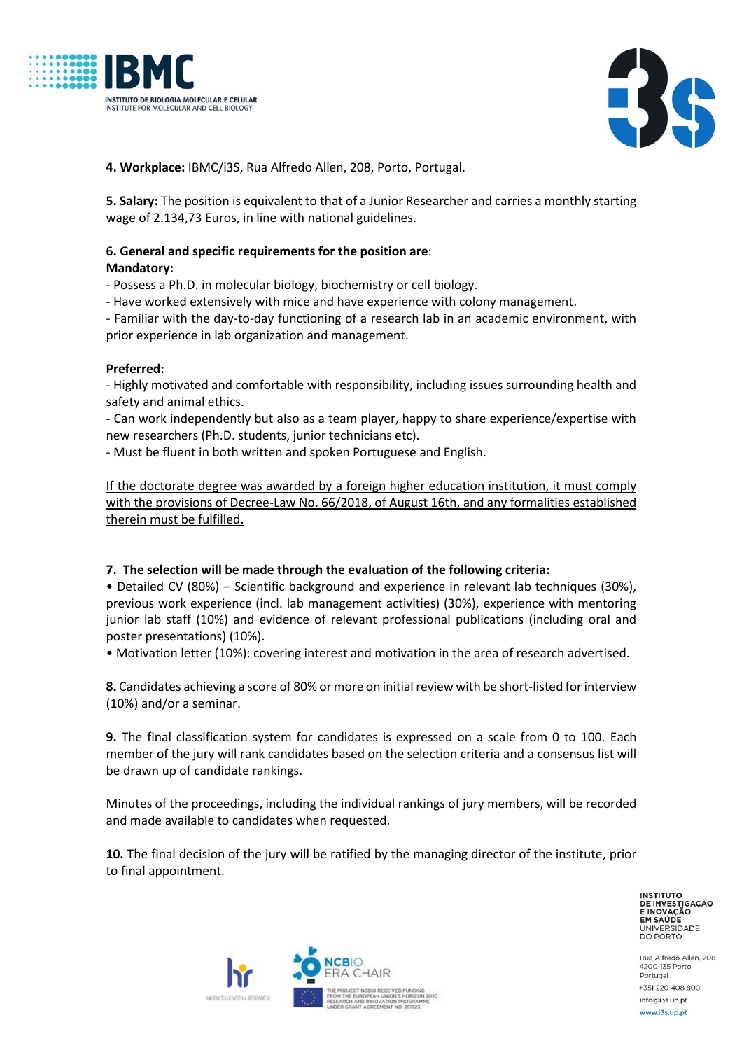



**4. Workplace:** IBMC/i3S, Rua Alfredo Allen, 208, Porto, Portugal.

**5. Salary:** The position is equivalent to that of a Junior Researcher and carries a monthly starting wage of 2.134,73 Euros, in line with national guidelines.

# **6. General and specific requirements for the position are**:

## **Mandatory:**

- Possess a Ph.D. in molecular biology, biochemistry or cell biology.

- Have worked extensively with mice and have experience with colony management.

- Familiar with the day-to-day functioning of a research lab in an academic environment, with prior experience in lab organization and management.

## **Preferred:**

- Highly motivated and comfortable with responsibility, including issues surrounding health and safety and animal ethics.

- Can work independently but also as a team player, happy to share experience/expertise with new researchers (Ph.D. students, junior technicians etc).

- Must be fluent in both written and spoken Portuguese and English.

If the doctorate degree was awarded by a foreign higher education institution, it must comply with the provisions of Decree-Law No. 66/2018, of August 16th, and any formalities established therein must be fulfilled.

## **7. The selection will be made through the evaluation of the following criteria:**

• Detailed CV (80%) – Scientific background and experience in relevant lab techniques (30%), previous work experience (incl. lab management activities) (30%), experience with mentoring junior lab staff (10%) and evidence of relevant professional publications (including oral and poster presentations) (10%).

• Motivation letter (10%): covering interest and motivation in the area of research advertised.

**8.** Candidates achieving a score of 80% or more on initial review with be short-listed for interview (10%) and/or a seminar.

**9.** The final classification system for candidates is expressed on a scale from 0 to 100. Each member of the jury will rank candidates based on the selection criteria and a consensus list will be drawn up of candidate rankings.

Minutes of the proceedings, including the individual rankings of jury members, will be recorded and made available to candidates when requested.

**10.** The final decision of the jury will be ratified by the managing director of the institute, prior to final appointment.

> **INSTITUTO** DE INVESTIGAÇÃO EM SAÚDE UNIVERSIDADE<br>DO PORTO

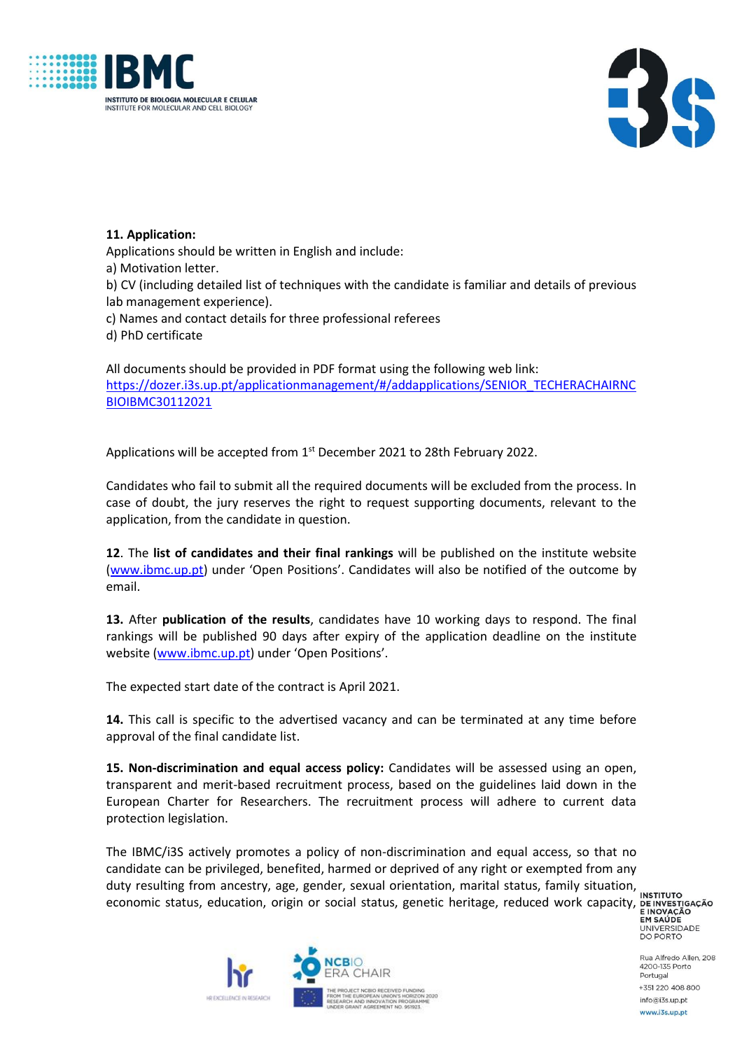



## **11. Application:**

Applications should be written in English and include:

a) Motivation letter.

b) CV (including detailed list of techniques with the candidate is familiar and details of previous lab management experience).

c) Names and contact details for three professional referees

d) PhD certificate

All documents should be provided in PDF format using the following web link: [https://dozer.i3s.up.pt/applicationmanagement/#/addapplications/SENIOR\\_TECHERACHAIRNC](https://dozer.i3s.up.pt/applicationmanagement/#/addapplications/SENIOR_TECHERACHAIRNCBIOIBMC30112021) [BIOIBMC30112021](https://dozer.i3s.up.pt/applicationmanagement/#/addapplications/SENIOR_TECHERACHAIRNCBIOIBMC30112021)

Applications will be accepted from  $1<sup>st</sup>$  December 2021 to 28th February 2022.

Candidates who fail to submit all the required documents will be excluded from the process. In case of doubt, the jury reserves the right to request supporting documents, relevant to the application, from the candidate in question.

**12**. The **list of candidates and their final rankings** will be published on the institute website [\(www.ibmc.up.pt](http://www.ibmc.up.pt/)) under 'Open Positions'. Candidates will also be notified of the outcome by email.

**13.** After **publication of the results**, candidates have 10 working days to respond. The final rankings will be published 90 days after expiry of the application deadline on the institute website [\(www.ibmc.up.pt\)](http://www.ibmc.up.pt/) under 'Open Positions'.

The expected start date of the contract is April 2021.

**14.** This call is specific to the advertised vacancy and can be terminated at any time before approval of the final candidate list.

**15. Non-discrimination and equal access policy:** Candidates will be assessed using an open, transparent and merit-based recruitment process, based on the guidelines laid down in the European Charter for Researchers. The recruitment process will adhere to current data protection legislation.

The IBMC/i3S actively promotes a policy of non-discrimination and equal access, so that no candidate can be privileged, benefited, harmed or deprived of any right or exempted from any duty resulting from ancestry, age, gender, sexual orientation, marital status, family situation, economic status, education, origin or social status, genetic heritage, reduced work capacity, DEINVESTIGAÇÃO